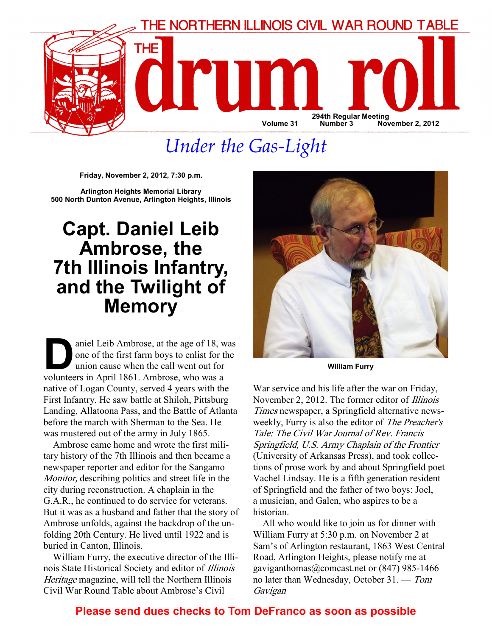

# Under the Gas-Light

Friday, November 2, 2012, 7:30 p.m.

Arlington Heights Memorial Library 500 North Dunton Avenue, Arlington Heights, Illinois

### Capt. Daniel Leib Ambrose, the 7th Illinois Infantry, and the Twilight of Memory

aniel Leib Ambrose, at the age of 18, was one of the first farm boys to enlist for the union cause when the call went out for volunteers in April 1861. Ambrose, who was a native of Logan County, served 4 years with the First Infantry. He saw battle at Shiloh, Pittsburg Landing, Allatoona Pass, and the Battle of Atlanta before the march with Sherman to the Sea. He was mustered out of the army in July 1865.

Ambrose came home and wrote the first military history of the 7th Illinois and then became a newspaper reporter and editor for the Sangamo Monitor, describing politics and street life in the city during reconstruction. A chaplain in the G.A.R., he continued to do service for veterans. But it was as a husband and father that the story of Ambrose unfolds, against the backdrop of the unfolding 20th Century. He lived until 1922 and is buried in Canton, Illinois.

William Furry, the executive director of the Illinois State Historical Society and editor of Illinois Heritage magazine, will tell the Northern Illinois Civil War Round Table about Ambrose's Civil



William Furry

War service and his life after the war on Friday, November 2, 2012. The former editor of Illinois Times newspaper, a Springfield alternative newsweekly, Furry is also the editor of The Preacher's Tale: The Civil War Journal of Rev. Francis Springfield, U.S. Army Chaplain of the Frontier (University of Arkansas Press), and took collections of prose work by and about Springfield poet Vachel Lindsay. He is a fifth generation resident of Springfield and the father of two boys: Joel, a musician, and Galen, who aspires to be a historian.

All who would like to join us for dinner with William Furry at 5:30 p.m. on November 2 at Sam's of Arlington restaurant, 1863 West Central Road, Arlington Heights, please notify me at gaviganthomas@comcast.net or (847) 985-1466 no later than Wednesday, October 31. — Tom Gavigan

#### Please send dues checks to Tom DeFranco as soon as possible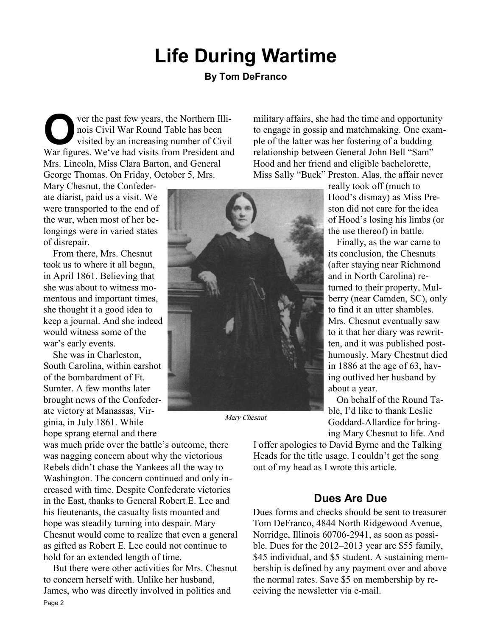# Life During Wartime

#### By Tom DeFranco

O ver the past few years, the Northern Illinois Civil War Round Table has been<br>visited by an increasing number of Civil<br>War figures We've had visits from President and nois Civil War Round Table has been visited by an increasing number of Civil War figures. We've had visits from President and Mrs. Lincoln, Miss Clara Barton, and General George Thomas. On Friday, October 5, Mrs.

Mary Chesnut, the Confederate diarist, paid us a visit. We were transported to the end of the war, when most of her belongings were in varied states of disrepair.

From there, Mrs. Chesnut took us to where it all began, in April 1861. Believing that she was about to witness momentous and important times, she thought it a good idea to keep a journal. And she indeed would witness some of the war's early events.

She was in Charleston, South Carolina, within earshot of the bombardment of Ft. Sumter. A few months later brought news of the Confederate victory at Manassas, Virginia, in July 1861. While hope sprang eternal and there

was much pride over the battle's outcome, there was nagging concern about why the victorious Rebels didn't chase the Yankees all the way to Washington. The concern continued and only increased with time. Despite Confederate victories in the East, thanks to General Robert E. Lee and his lieutenants, the casualty lists mounted and hope was steadily turning into despair. Mary Chesnut would come to realize that even a general as gifted as Robert E. Lee could not continue to hold for an extended length of time.

But there were other activities for Mrs. Chesnut to concern herself with. Unlike her husband, James, who was directly involved in politics and Page 2

military affairs, she had the time and opportunity to engage in gossip and matchmaking. One example of the latter was her fostering of a budding relationship between General John Bell "Sam" Hood and her friend and eligible bachelorette, Miss Sally "Buck" Preston. Alas, the affair never



Mary Chesnut

really took off (much to Hood's dismay) as Miss Preston did not care for the idea of Hood's losing his limbs (or the use thereof) in battle.

 Finally, as the war came to its conclusion, the Chesnuts (after staying near Richmond and in North Carolina) returned to their property, Mulberry (near Camden, SC), only to find it an utter shambles. Mrs. Chesnut eventually saw to it that her diary was rewritten, and it was published posthumously. Mary Chestnut died in 1886 at the age of 63, having outlived her husband by about a year.

 On behalf of the Round Table, I'd like to thank Leslie Goddard-Allardice for bringing Mary Chesnut to life. And

I offer apologies to David Byrne and the Talking Heads for the title usage. I couldn't get the song out of my head as I wrote this article.

#### Dues Are Due

Dues forms and checks should be sent to treasurer Tom DeFranco, 4844 North Ridgewood Avenue, Norridge, Illinois 60706-2941, as soon as possible. Dues for the 2012–2013 year are \$55 family, \$45 individual, and \$5 student. A sustaining membership is defined by any payment over and above the normal rates. Save \$5 on membership by receiving the newsletter via e-mail.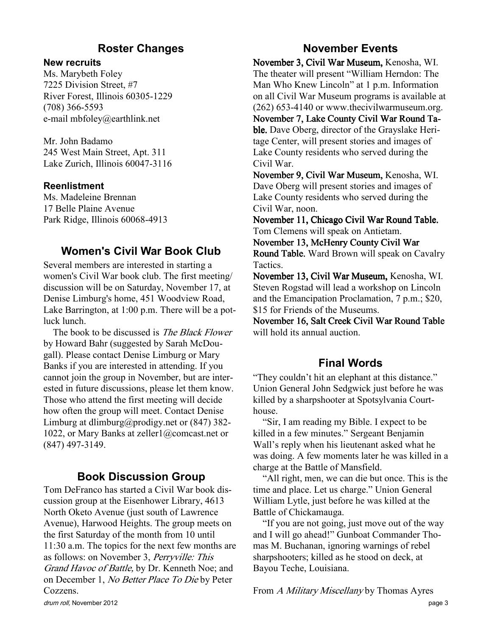### Roster Changes

#### New recruits

Ms. Marybeth Foley 7225 Division Street, #7 River Forest, Illinois 60305-1229 (708) 366-5593 e-mail mbfoley@earthlink.net

Mr. John Badamo 245 West Main Street, Apt. 311 Lake Zurich, Illinois 60047-3116

#### Reenlistment

Ms. Madeleine Brennan 17 Belle Plaine Avenue Park Ridge, Illinois 60068-4913

#### Women's Civil War Book Club

Several members are interested in starting a women's Civil War book club. The first meeting/ discussion will be on Saturday, November 17, at Denise Limburg's home, 451 Woodview Road, Lake Barrington, at 1:00 p.m. There will be a potluck lunch.

The book to be discussed is *The Black Flower* by Howard Bahr (suggested by Sarah McDougall). Please contact Denise Limburg or Mary Banks if you are interested in attending. If you cannot join the group in November, but are interested in future discussions, please let them know. Those who attend the first meeting will decide how often the group will meet. Contact Denise Limburg at dlimburg@prodigy.net or (847) 382- 1022, or Mary Banks at zeller1@comcast.net or (847) 497-3149.

#### Book Discussion Group

Tom DeFranco has started a Civil War book discussion group at the Eisenhower Library, 4613 North Oketo Avenue (just south of Lawrence Avenue), Harwood Heights. The group meets on the first Saturday of the month from 10 until 11:30 a.m. The topics for the next few months are as follows: on November 3, Perryville: This Grand Havoc of Battle, by Dr. Kenneth Noe; and on December 1, No Better Place To Die by Peter Cozzens.

#### November Events

November 3, Civil War Museum, Kenosha, WI. The theater will present "William Herndon: The Man Who Knew Lincoln" at 1 p.m. Information on all Civil War Museum programs is available at (262) 653-4140 or www.thecivilwarmuseum.org. November 7, Lake County Civil War Round Table. Dave Oberg, director of the Grayslake Heritage Center, will present stories and images of Lake County residents who served during the Civil War.

November 9, Civil War Museum, Kenosha, WI. Dave Oberg will present stories and images of Lake County residents who served during the Civil War, noon.

November 11, Chicago Civil War Round Table. Tom Clemens will speak on Antietam.

November 13, McHenry County Civil War Round Table. Ward Brown will speak on Cavalry **Tactics** 

November 13, Civil War Museum, Kenosha, WI. Steven Rogstad will lead a workshop on Lincoln and the Emancipation Proclamation, 7 p.m.; \$20, \$15 for Friends of the Museums.

November 16, Salt Creek Civil War Round Table will hold its annual auction.

#### Final Words

"They couldn't hit an elephant at this distance." Union General John Sedgwick just before he was killed by a sharpshooter at Spotsylvania Courthouse.

"Sir, I am reading my Bible. I expect to be killed in a few minutes." Sergeant Benjamin Wall's reply when his lieutenant asked what he was doing. A few moments later he was killed in a charge at the Battle of Mansfield.

"All right, men, we can die but once. This is the time and place. Let us charge." Union General William Lytle, just before he was killed at the Battle of Chickamauga.

"If you are not going, just move out of the way and I will go ahead!" Gunboat Commander Thomas M. Buchanan, ignoring warnings of rebel sharpshooters; killed as he stood on deck, at Bayou Teche, Louisiana.

From A Military Miscellany by Thomas Ayres

drum roll, November 2012 **page 3** and the set of the set of the set of the set of the set of the set of the set of the set of the set of the set of the set of the set of the set of the set of the set of the set of the set